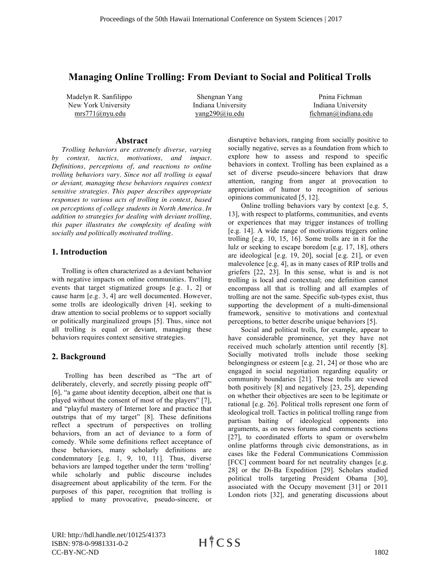# **Managing Online Trolling: From Deviant to Social and Political Trolls**

Madelyn R. Sanfilippo New York University mrs771@nyu.edu

Shengnan Yang Indiana University yang290@iu.edu

Pnina Fichman Indiana University fichman@indiana.edu

#### **Abstract**

*Trolling behaviors are extremely diverse, varying by context, tactics, motivations, and impact. Definitions, perceptions of, and reactions to online trolling behaviors vary. Since not all trolling is equal or deviant, managing these behaviors requires context sensitive strategies. This paper describes appropriate responses to various acts of trolling in context, based on perceptions of college students in North America. In addition to strategies for dealing with deviant trolling, this paper illustrates the complexity of dealing with socially and politically motivated trolling.*

#### **1. Introduction**

Trolling is often characterized as a deviant behavior with negative impacts on online communities. Trolling events that target stigmatized groups [e.g. 1, 2] or cause harm [e.g. 3, 4] are well documented. However, some trolls are ideologically driven [4], seeking to draw attention to social problems or to support socially or politically marginalized groups [5]. Thus, since not all trolling is equal or deviant, managing these behaviors requires context sensitive strategies.

### **2. Background**

Trolling has been described as "The art of deliberately, cleverly, and secretly pissing people off" [6], "a game about identity deception, albeit one that is played without the consent of most of the players" [7], and "playful mastery of Internet lore and practice that outstrips that of my target" [8]. These definitions reflect a spectrum of perspectives on trolling behaviors, from an act of deviance to a form of comedy. While some definitions reflect acceptance of these behaviors, many scholarly definitions are condemnatory [e.g. 1, 9, 10, 11]. Thus, diverse behaviors are lamped together under the term 'trolling' while scholarly and public discourse includes disagreement about applicability of the term. For the purposes of this paper, recognition that trolling is applied to many provocative, pseudo-sincere, or disruptive behaviors, ranging from socially positive to socially negative, serves as a foundation from which to explore how to assess and respond to specific behaviors in context. Trolling has been explained as a set of diverse pseudo-sincere behaviors that draw attention, ranging from anger at provocation to appreciation of humor to recognition of serious opinions communicated [5, 12].

Online trolling behaviors vary by context [e.g. 5, 13], with respect to platforms, communities, and events or experiences that may trigger instances of trolling [e.g. 14]. A wide range of motivations triggers online trolling [e.g. 10, 15, 16]. Some trolls are in it for the lulz or seeking to escape boredom [e.g. 17, 18], others are ideological [e.g. 19, 20], social [e.g. 21], or even malevolence [e.g. 4], as in many cases of RIP trolls and griefers [22, 23]. In this sense, what is and is not trolling is local and contextual; one definition cannot encompass all that is trolling and all examples of trolling are not the same. Specific sub-types exist, thus supporting the development of a multi-dimensional framework, sensitive to motivations and contextual perceptions, to better describe unique behaviors [5].

Social and political trolls, for example, appear to have considerable prominence, yet they have not received much scholarly attention until recently [8]. Socially motivated trolls include those seeking belongingness or esteem [e.g. 21, 24] or those who are engaged in social negotiation regarding equality or community boundaries [21]. These trolls are viewed both positively [8] and negatively [23, 25], depending on whether their objectives are seen to be legitimate or rational [e.g. 26]. Political trolls represent one form of ideological troll. Tactics in political trolling range from partisan baiting of ideological opponents into arguments, as on news forums and comments sections [27], to coordinated efforts to spam or overwhelm online platforms through civic demonstrations, as in cases like the Federal Communications Commission [FCC] comment board for net neutrality changes [e.g. 28] or the Di-Ba Expedition [29]. Scholars studied political trolls targeting President Obama [30], associated with the Occupy movement [31] or 2011 London riots [32], and generating discussions about

URI: http://hdl.handle.net/10125/41373 ISBN: 978-0-9981331-0-2 CC-BY-NC-ND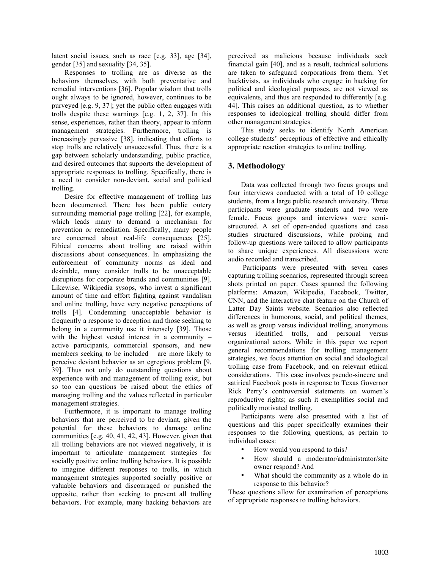latent social issues, such as race [e.g. 33], age [34], gender [35] and sexuality [34, 35].

Responses to trolling are as diverse as the behaviors themselves, with both preventative and remedial interventions [36]. Popular wisdom that trolls ought always to be ignored, however, continues to be purveyed [e.g. 9, 37]; yet the public often engages with trolls despite these warnings [e.g. 1, 2, 37]. In this sense, experiences, rather than theory, appear to inform management strategies. Furthermore, trolling is increasingly pervasive [38], indicating that efforts to stop trolls are relatively unsuccessful. Thus, there is a gap between scholarly understanding, public practice, and desired outcomes that supports the development of appropriate responses to trolling. Specifically, there is a need to consider non-deviant, social and political trolling.

Desire for effective management of trolling has been documented. There has been public outcry surrounding memorial page trolling [22], for example, which leads many to demand a mechanism for prevention or remediation. Specifically, many people are concerned about real-life consequences [25]. Ethical concerns about trolling are raised within discussions about consequences. In emphasizing the enforcement of community norms as ideal and desirable, many consider trolls to be unacceptable disruptions for corporate brands and communities [9]. Likewise, Wikipedia sysops, who invest a significant amount of time and effort fighting against vandalism and online trolling, have very negative perceptions of trolls [4]. Condemning unacceptable behavior is frequently a response to deception and those seeking to belong in a community use it intensely [39]. Those with the highest vested interest in a community – active participants, commercial sponsors, and new members seeking to be included – are more likely to perceive deviant behavior as an egregious problem [9, 39]. Thus not only do outstanding questions about experience with and management of trolling exist, but so too can questions be raised about the ethics of managing trolling and the values reflected in particular management strategies.

Furthermore, it is important to manage trolling behaviors that are perceived to be deviant, given the potential for these behaviors to damage online communities [e.g. 40, 41, 42, 43]. However, given that all trolling behaviors are not viewed negatively, it is important to articulate management strategies for socially positive online trolling behaviors. It is possible to imagine different responses to trolls, in which management strategies supported socially positive or valuable behaviors and discouraged or punished the opposite, rather than seeking to prevent all trolling behaviors. For example, many hacking behaviors are

perceived as malicious because individuals seek financial gain [40], and as a result, technical solutions are taken to safeguard corporations from them. Yet hacktivists, as individuals who engage in hacking for political and ideological purposes, are not viewed as equivalents, and thus are responded to differently [e.g. 44]. This raises an additional question, as to whether responses to ideological trolling should differ from other management strategies.

This study seeks to identify North American college students' perceptions of effective and ethically appropriate reaction strategies to online trolling.

### **3. Methodology**

Data was collected through two focus groups and four interviews conducted with a total of 10 college students, from a large public research university. Three participants were graduate students and two were female. Focus groups and interviews were semistructured. A set of open-ended questions and case studies structured discussions, while probing and follow-up questions were tailored to allow participants to share unique experiences. All discussions were audio recorded and transcribed.

Participants were presented with seven cases capturing trolling scenarios, represented through screen shots printed on paper. Cases spanned the following platforms: Amazon, Wikipedia, Facebook, Twitter, CNN, and the interactive chat feature on the Church of Latter Day Saints website. Scenarios also reflected differences in humorous, social, and political themes, as well as group versus individual trolling, anonymous versus identified trolls, and personal versus organizational actors. While in this paper we report general recommendations for trolling management strategies, we focus attention on social and ideological trolling case from Facebook, and on relevant ethical considerations. This case involves pseudo-sincere and satirical Facebook posts in response to Texas Governor Rick Perry's controversial statements on women's reproductive rights; as such it exemplifies social and politically motivated trolling.

Participants were also presented with a list of questions and this paper specifically examines their responses to the following questions, as pertain to individual cases:

- How would you respond to this?
- How should a moderator/administrator/site owner respond? And
- What should the community as a whole do in response to this behavior?

These questions allow for examination of perceptions of appropriate responses to trolling behaviors.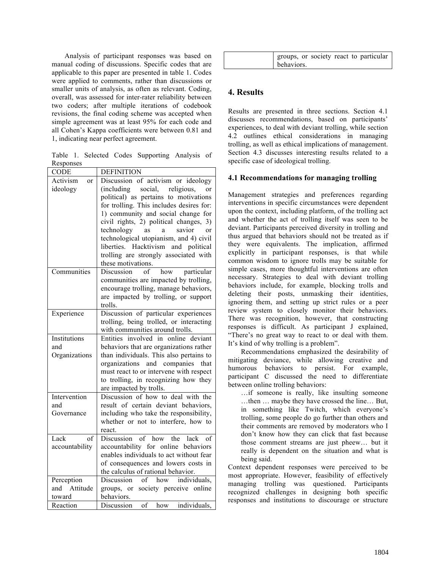Analysis of participant responses was based on manual coding of discussions. Specific codes that are applicable to this paper are presented in table 1. Codes were applied to comments, rather than discussions or smaller units of analysis, as often as relevant. Coding, overall, was assessed for inter-rater reliability between two coders; after multiple iterations of codebook revisions, the final coding scheme was accepted when simple agreement was at least 95% for each code and all Cohen's Kappa coefficients were between 0.81 and 1, indicating near perfect agreement.

Table 1. Selected Codes Supporting Analysis of Responses

| CODE            | <b>DEFINITION</b>                                             |
|-----------------|---------------------------------------------------------------|
| Activism<br>or  | Discussion of activism or ideology                            |
| ideology        | social,<br>(including)<br>religious,<br>or                    |
|                 | political) as pertains to motivations                         |
|                 | for trolling. This includes desires for:                      |
|                 | 1) community and social change for                            |
|                 | civil rights, 2) political changes, 3)                        |
|                 | savior<br>technology as<br>$\rm{a}$<br>$\alpha$ r             |
|                 | technological utopianism, and 4) civil                        |
|                 | liberties. Hacktivism and political                           |
|                 | trolling are strongly associated with                         |
|                 | these motivations.                                            |
| Communities     | Discussion<br>of<br>how<br>particular                         |
|                 | communities are impacted by trolling,                         |
|                 | encourage trolling, manage behaviors,                         |
|                 | are impacted by trolling, or support                          |
|                 | trolls.                                                       |
| Experience      | Discussion of particular experiences                          |
|                 | trolling, being trolled, or interacting                       |
|                 | with communities around trolls.                               |
| Institutions    | Entities involved in online deviant                           |
| and             | behaviors that are organizations rather                       |
| Organizations   | than individuals. This also pertains to                       |
|                 | organizations and companies that                              |
|                 | must react to or intervene with respect                       |
|                 | to trolling, in recognizing how they                          |
| Intervention    | are impacted by trolls.<br>Discussion of how to deal with the |
| and             | result of certain deviant behaviors,                          |
| Governance      | including who take the responsibility,                        |
|                 | whether or not to interfere, how to                           |
|                 | react.                                                        |
| Lack<br>of      | of<br>how<br>the<br>lack<br>Discussion<br>$\sigma$ f          |
| accountability  | accountability for online behaviors                           |
|                 | enables individuals to act without fear                       |
|                 | of consequences and lowers costs in                           |
|                 | the calculus of rational behavior.                            |
| Perception      | individuals,<br>Discussion<br>how<br>of                       |
| Attitude<br>and | groups, or society perceive online                            |
| toward          | behaviors.                                                    |
| Reaction        | individuals.<br>Discussion<br>of<br>how                       |

|            |  |  | groups, or society react to particular |
|------------|--|--|----------------------------------------|
| behaviors. |  |  |                                        |

# **4. Results**

Results are presented in three sections. Section 4.1 discusses recommendations, based on participants' experiences, to deal with deviant trolling, while section 4.2 outlines ethical considerations in managing trolling, as well as ethical implications of management. Section 4.3 discusses interesting results related to a specific case of ideological trolling.

### **4.1 Recommendations for managing trolling**

Management strategies and preferences regarding interventions in specific circumstances were dependent upon the context, including platform, of the trolling act and whether the act of trolling itself was seen to be deviant. Participants perceived diversity in trolling and thus argued that behaviors should not be treated as if they were equivalents. The implication, affirmed explicitly in participant responses, is that while common wisdom to ignore trolls may be suitable for simple cases, more thoughtful interventions are often necessary. Strategies to deal with deviant trolling behaviors include, for example, blocking trolls and deleting their posts, unmasking their identities, ignoring them, and setting up strict rules or a peer review system to closely monitor their behaviors. There was recognition, however, that constructing responses is difficult. As participant J explained, "There's no great way to react to or deal with them. It's kind of why trolling is a problem".

Recommendations emphasized the desirability of mitigating deviance, while allowing creative and humorous behaviors to persist. For example, participant C discussed the need to differentiate between online trolling behaviors:

…if someone is really, like insulting someone …then … maybe they have crossed the line… But, in something like Twitch, which everyone's trolling, some people do go further than others and their comments are removed by moderators who I don't know how they can click that fast because those comment streams are just pheew… but it really is dependent on the situation and what is being said.

Context dependent responses were perceived to be most appropriate. However, feasibility of effectively managing trolling was questioned. Participants recognized challenges in designing both specific responses and institutions to discourage or structure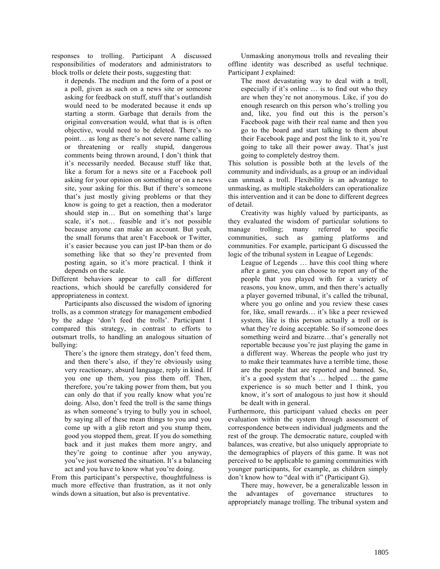responses to trolling. Participant A discussed responsibilities of moderators and administrators to block trolls or delete their posts, suggesting that:

it depends. The medium and the form of a post or a poll, given as such on a news site or someone asking for feedback on stuff, stuff that's outlandish would need to be moderated because it ends up starting a storm. Garbage that derails from the original conversation would, what that is is often objective, would need to be deleted. There's no point… as long as there's not severe name calling or threatening or really stupid, dangerous comments being thrown around, I don't think that it's necessarily needed. Because stuff like that, like a forum for a news site or a Facebook poll asking for your opinion on something or on a news site, your asking for this. But if there's someone that's just mostly giving problems or that they know is going to get a reaction, then a moderator should step in… But on something that's large scale, it's not… feasible and it's not possible because anyone can make an account. But yeah, the small forums that aren't Facebook or Twitter, it's easier because you can just IP-ban them or do something like that so they're prevented from posting again, so it's more practical. I think it depends on the scale.

Different behaviors appear to call for different reactions, which should be carefully considered for appropriateness in context.

Participants also discussed the wisdom of ignoring trolls, as a common strategy for management embodied by the adage 'don't feed the trolls'. Participant I compared this strategy, in contrast to efforts to outsmart trolls, to handling an analogous situation of bullying:

There's the ignore them strategy, don't feed them, and then there's also, if they're obviously using very reactionary, absurd language, reply in kind. If you one up them, you piss them off. Then, therefore, you're taking power from them, but you can only do that if you really know what you're doing. Also, don't feed the troll is the same things as when someone's trying to bully you in school, by saying all of these mean things to you and you come up with a glib retort and you stump them, good you stopped them, great. If you do something back and it just makes them more angry, and they're going to continue after you anyway, you've just worsened the situation. It's a balancing act and you have to know what you're doing.

From this participant's perspective, thoughtfulness is much more effective than frustration, as it not only winds down a situation, but also is preventative.

Unmasking anonymous trolls and revealing their offline identity was described as useful technique. Participant J explained:

The most devastating way to deal with a troll, especially if it's online … is to find out who they are when they're not anonymous. Like, if you do enough research on this person who's trolling you and, like, you find out this is the person's Facebook page with their real name and then you go to the board and start talking to them about their Facebook page and post the link to it, you're going to take all their power away. That's just going to completely destroy them.

This solution is possible both at the levels of the community and individuals, as a group or an individual can unmask a troll. Flexibility is an advantage to unmasking, as multiple stakeholders can operationalize this intervention and it can be done to different degrees of detail.

Creativity was highly valued by participants, as they evaluated the wisdom of particular solutions to manage trolling; many referred to specific communities, such as gaming platforms and communities. For example, participant G discussed the logic of the tribunal system in League of Legends:

League of Legends … have this cool thing where after a game, you can choose to report any of the people that you played with for a variety of reasons, you know, umm, and then there's actually a player governed tribunal, it's called the tribunal, where you go online and you review these cases for, like, small rewards… it's like a peer reviewed system, like is this person actually a troll or is what they're doing acceptable. So if someone does something weird and bizarre…that's generally not reportable because you're just playing the game in a different way. Whereas the people who just try to make their teammates have a terrible time, those are the people that are reported and banned. So, it's a good system that's … helped … the game experience is so much better and I think, you know, it's sort of analogous to just how it should be dealt with in general.

Furthermore, this participant valued checks on peer evaluation within the system through assessment of correspondence between individual judgments and the rest of the group. The democratic nature, coupled with balances, was creative, but also uniquely appropriate to the demographics of players of this game. It was not perceived to be applicable to gaming communities with younger participants, for example, as children simply don't know how to "deal with it" (Participant G).

There may, however, be a generalizable lesson in the advantages of governance structures to appropriately manage trolling. The tribunal system and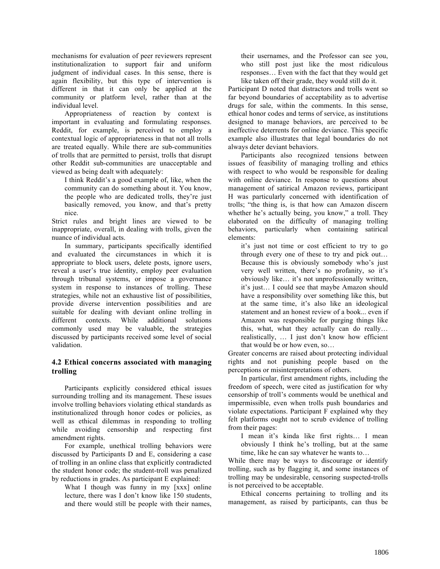mechanisms for evaluation of peer reviewers represent institutionalization to support fair and uniform judgment of individual cases. In this sense, there is again flexibility, but this type of intervention is different in that it can only be applied at the community or platform level, rather than at the individual level.

Appropriateness of reaction by context is important in evaluating and formulating responses. Reddit, for example, is perceived to employ a contextual logic of appropriateness in that not all trolls are treated equally. While there are sub-communities of trolls that are permitted to persist, trolls that disrupt other Reddit sub-communities are unacceptable and viewed as being dealt with adequately:

I think Reddit's a good example of, like, when the community can do something about it. You know, the people who are dedicated trolls, they're just basically removed, you know, and that's pretty nice.

Strict rules and bright lines are viewed to be inappropriate, overall, in dealing with trolls, given the nuance of individual acts.

In summary, participants specifically identified and evaluated the circumstances in which it is appropriate to block users, delete posts, ignore users, reveal a user's true identity, employ peer evaluation through tribunal systems, or impose a governance system in response to instances of trolling. These strategies, while not an exhaustive list of possibilities, provide diverse intervention possibilities and are suitable for dealing with deviant online trolling in different contexts. While additional solutions commonly used may be valuable, the strategies discussed by participants received some level of social validation.

#### **4.2 Ethical concerns associated with managing trolling**

Participants explicitly considered ethical issues surrounding trolling and its management. These issues involve trolling behaviors violating ethical standards as institutionalized through honor codes or policies, as well as ethical dilemmas in responding to trolling while avoiding censorship and respecting first amendment rights.

For example, unethical trolling behaviors were discussed by Participants D and E, considering a case of trolling in an online class that explicitly contradicted the student honor code; the student-troll was penalized by reductions in grades. As participant E explained:

What I though was funny in my [xxx] online lecture, there was I don't know like 150 students, and there would still be people with their names,

their usernames, and the Professor can see you, who still post just like the most ridiculous responses… Even with the fact that they would get like taken off their grade, they would still do it.

Participant D noted that distractors and trolls went so far beyond boundaries of acceptability as to advertise drugs for sale, within the comments. In this sense, ethical honor codes and terms of service, as institutions designed to manage behaviors, are perceived to be ineffective deterrents for online deviance. This specific example also illustrates that legal boundaries do not always deter deviant behaviors.

Participants also recognized tensions between issues of feasibility of managing trolling and ethics with respect to who would be responsible for dealing with online deviance. In response to questions about management of satirical Amazon reviews, participant H was particularly concerned with identification of trolls; "the thing is, is that how can Amazon discern whether he's actually being, you know," a troll. They elaborated on the difficulty of managing trolling behaviors, particularly when containing satirical elements:

it's just not time or cost efficient to try to go through every one of these to try and pick out… Because this is obviously somebody who's just very well written, there's no profanity, so it's obviously like… it's not unprofessionally written, it's just… I could see that maybe Amazon should have a responsibility over something like this, but at the same time, it's also like an ideological statement and an honest review of a book... even if Amazon was responsible for purging things like this, what, what they actually can do really… realistically, … I just don't know how efficient that would be or how even, so…

Greater concerns are raised about protecting individual rights and not punishing people based on the perceptions or misinterpretations of others.

In particular, first amendment rights, including the freedom of speech, were cited as justification for why censorship of troll's comments would be unethical and impermissible, even when trolls push boundaries and violate expectations. Participant F explained why they felt platforms ought not to scrub evidence of trolling from their pages:

I mean it's kinda like first rights… I mean obviously I think he's trolling, but at the same time, like he can say whatever he wants to…

While there may be ways to discourage or identify trolling, such as by flagging it, and some instances of trolling may be undesirable, censoring suspected-trolls is not perceived to be acceptable.

Ethical concerns pertaining to trolling and its management, as raised by participants, can thus be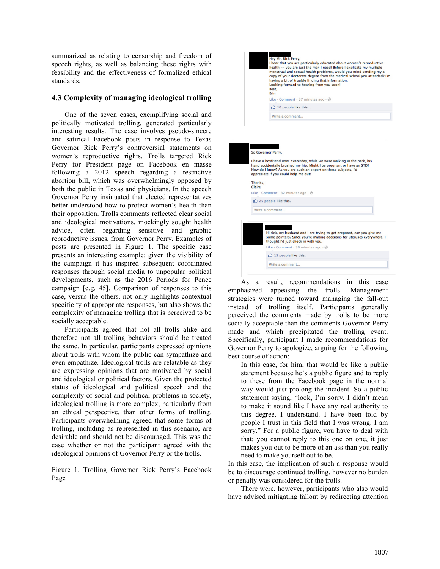summarized as relating to censorship and freedom of speech rights, as well as balancing these rights with feasibility and the effectiveness of formalized ethical standards.

#### **4.3 Complexity of managing ideological trolling**

One of the seven cases, exemplifying social and politically motivated trolling, generated particularly interesting results. The case involves pseudo-sincere and satirical Facebook posts in response to Texas Governor Rick Perry's controversial statements on women's reproductive rights. Trolls targeted Rick Perry for President page on Facebook en masse following a 2012 speech regarding a restrictive abortion bill, which was overwhelmingly opposed by both the public in Texas and physicians. In the speech Governor Perry insinuated that elected representatives better understood how to protect women's health than their opposition. Trolls comments reflected clear social and ideological motivations, mockingly sought health advice, often regarding sensitive and graphic reproductive issues, from Governor Perry. Examples of posts are presented in Figure 1. The specific case presents an interesting example; given the visibility of the campaign it has inspired subsequent coordinated responses through social media to unpopular political developments, such as the 2016 Periods for Pence campaign [e.g. 45]. Comparison of responses to this case, versus the others, not only highlights contextual specificity of appropriate responses, but also shows the complexity of managing trolling that is perceived to be socially acceptable.

Participants agreed that not all trolls alike and therefore not all trolling behaviors should be treated the same. In particular, participants expressed opinions about trolls with whom the public can sympathize and even empathize. Ideological trolls are relatable as they are expressing opinions that are motivated by social and ideological or political factors. Given the protected status of ideological and political speech and the complexity of social and political problems in society, ideological trolling is more complex, particularly from an ethical perspective, than other forms of trolling. Participants overwhelming agreed that some forms of trolling, including as represented in this scenario, are desirable and should not be discouraged. This was the case whether or not the participant agreed with the ideological opinions of Governor Perry or the trolls.

Figure 1. Trolling Governor Rick Perry's Facebook Page



Hi rick, my husband and I are trying to get pregnant, can you give me<br>some pointers? Since you're making decisions for uteruses everywhere, I thought I'd just check in with you. Like · Comment · 30 minutes ago · @ <sup>1</sup> 15 people like this. Write a comment. As a result, recommendations in this case emphasized appeasing the trolls. Management strategies were turned toward managing the fall-out instead of trolling itself. Participants generally perceived the comments made by trolls to be more socially acceptable than the comments Governor Perry made and which precipitated the trolling event. Specifically, participant I made recommendations for

Governor Perry to apologize, arguing for the following

best course of action: In this case, for him, that would be like a public statement because he's a public figure and to reply to these from the Facebook page in the normal way would just prolong the incident. So a public statement saying, "look, I'm sorry, I didn't mean to make it sound like I have any real authority to this degree. I understand. I have been told by people I trust in this field that I was wrong. I am sorry." For a public figure, you have to deal with that; you cannot reply to this one on one, it just makes you out to be more of an ass than you really need to make yourself out to be.

In this case, the implication of such a response would be to discourage continued trolling, however no burden or penalty was considered for the trolls.

There were, however, participants who also would have advised mitigating fallout by redirecting attention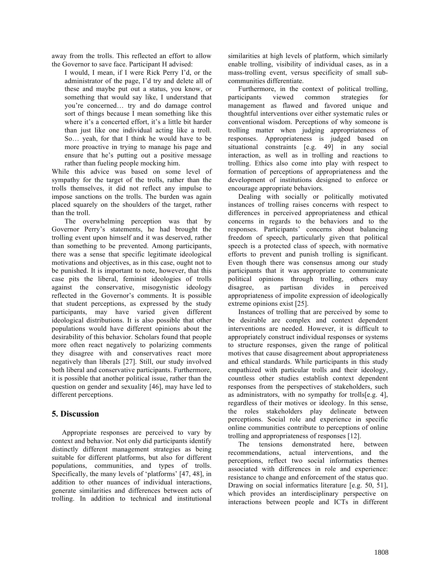away from the trolls. This reflected an effort to allow the Governor to save face. Participant H advised:

I would, I mean, if I were Rick Perry I'd, or the administrator of the page, I'd try and delete all of these and maybe put out a status, you know, or something that would say like, I understand that you're concerned… try and do damage control sort of things because I mean something like this where it's a concerted effort, it's a little bit harder than just like one individual acting like a troll. So… yeah, for that I think he would have to be more proactive in trying to manage his page and ensure that he's putting out a positive message rather than fueling people mocking him.

While this advice was based on some level of sympathy for the target of the trolls, rather than the trolls themselves, it did not reflect any impulse to impose sanctions on the trolls. The burden was again placed squarely on the shoulders of the target, rather than the troll.

The overwhelming perception was that by Governor Perry's statements, he had brought the trolling event upon himself and it was deserved, rather than something to be prevented. Among participants, there was a sense that specific legitimate ideological motivations and objectives, as in this case, ought not to be punished. It is important to note, however, that this case pits the liberal, feminist ideologies of trolls against the conservative, misogynistic ideology reflected in the Governor's comments. It is possible that student perceptions, as expressed by the study participants, may have varied given different ideological distributions. It is also possible that other populations would have different opinions about the desirability of this behavior. Scholars found that people more often react negatively to polarizing comments they disagree with and conservatives react more negatively than liberals [27]. Still, our study involved both liberal and conservative participants. Furthermore, it is possible that another political issue, rather than the question on gender and sexuality [46], may have led to different perceptions.

# **5. Discussion**

Appropriate responses are perceived to vary by context and behavior. Not only did participants identify distinctly different management strategies as being suitable for different platforms, but also for different populations, communities, and types of trolls. Specifically, the many levels of 'platforms' [47, 48], in addition to other nuances of individual interactions, generate similarities and differences between acts of trolling. In addition to technical and institutional

similarities at high levels of platform, which similarly enable trolling, visibility of individual cases, as in a mass-trolling event, versus specificity of small subcommunities differentiate.

Furthermore, in the context of political trolling, participants viewed common strategies for management as flawed and favored unique and thoughtful interventions over either systematic rules or conventional wisdom. Perceptions of why someone is trolling matter when judging appropriateness of responses. Appropriateness is judged based on situational constraints [e.g. 49] in any social interaction, as well as in trolling and reactions to trolling. Ethics also come into play with respect to formation of perceptions of appropriateness and the development of institutions designed to enforce or encourage appropriate behaviors.

Dealing with socially or politically motivated instances of trolling raises concerns with respect to differences in perceived appropriateness and ethical concerns in regards to the behaviors and to the responses. Participants' concerns about balancing freedom of speech, particularly given that political speech is a protected class of speech, with normative efforts to prevent and punish trolling is significant. Even though there was consensus among our study participants that it was appropriate to communicate political opinions through trolling, others may disagree, as partisan divides in perceived appropriateness of impolite expression of ideologically extreme opinions exist [25].

Instances of trolling that are perceived by some to be desirable are complex and context dependent interventions are needed. However, it is difficult to appropriately construct individual responses or systems to structure responses, given the range of political motives that cause disagreement about appropriateness and ethical standards. While participants in this study empathized with particular trolls and their ideology, countless other studies establish context dependent responses from the perspectives of stakeholders, such as administrators, with no sympathy for trolls[e.g. 4], regardless of their motives or ideology. In this sense, the roles stakeholders play delineate between perceptions. Social role and experience in specific online communities contribute to perceptions of online trolling and appropriateness of responses [12].

The tensions demonstrated here, between recommendations, actual interventions, and the perceptions, reflect two social informatics themes associated with differences in role and experience: resistance to change and enforcement of the status quo. Drawing on social informatics literature [e.g. 50, 51], which provides an interdisciplinary perspective on interactions between people and ICTs in different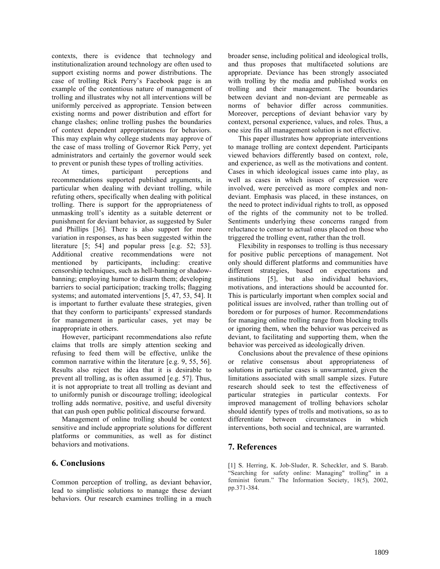contexts, there is evidence that technology and institutionalization around technology are often used to support existing norms and power distributions. The case of trolling Rick Perry's Facebook page is an example of the contentious nature of management of trolling and illustrates why not all interventions will be uniformly perceived as appropriate. Tension between existing norms and power distribution and effort for change clashes; online trolling pushes the boundaries of context dependent appropriateness for behaviors. This may explain why college students may approve of the case of mass trolling of Governor Rick Perry, yet administrators and certainly the governor would seek to prevent or punish these types of trolling activities.

At times, participant perceptions and recommendations supported published arguments, in particular when dealing with deviant trolling, while refuting others, specifically when dealing with political trolling. There is support for the appropriateness of unmasking troll's identity as a suitable deterrent or punishment for deviant behavior, as suggested by Suler and Phillips [36]. There is also support for more variation in responses, as has been suggested within the literature [5; 54] and popular press [e.g. 52; 53]. Additional creative recommendations were not mentioned by participants, including: creative censorship techniques, such as hell-banning or shadowbanning; employing humor to disarm them; developing barriers to social participation; tracking trolls; flagging systems; and automated interventions [5, 47, 53, 54]. It is important to further evaluate these strategies, given that they conform to participants' expressed standards for management in particular cases, yet may be inappropriate in others.

However, participant recommendations also refute claims that trolls are simply attention seeking and refusing to feed them will be effective, unlike the common narrative within the literature [e.g. 9, 55, 56]. Results also reject the idea that it is desirable to prevent all trolling, as is often assumed [e.g. 57]. Thus, it is not appropriate to treat all trolling as deviant and to uniformly punish or discourage trolling; ideological trolling adds normative, positive, and useful diversity that can push open public political discourse forward.

Management of online trolling should be context sensitive and include appropriate solutions for different platforms or communities, as well as for distinct behaviors and motivations.

### **6. Conclusions**

Common perception of trolling, as deviant behavior, lead to simplistic solutions to manage these deviant behaviors. Our research examines trolling in a much

broader sense, including political and ideological trolls, and thus proposes that multifaceted solutions are appropriate. Deviance has been strongly associated with trolling by the media and published works on trolling and their management. The boundaries between deviant and non-deviant are permeable as norms of behavior differ across communities. Moreover, perceptions of deviant behavior vary by context, personal experience, values, and roles. Thus, a one size fits all management solution is not effective.

This paper illustrates how appropriate interventions to manage trolling are context dependent. Participants viewed behaviors differently based on context, role, and experience, as well as the motivations and content. Cases in which ideological issues came into play, as well as cases in which issues of expression were involved, were perceived as more complex and nondeviant. Emphasis was placed, in these instances, on the need to protect individual rights to troll, as opposed of the rights of the community not to be trolled. Sentiments underlying these concerns ranged from reluctance to censor to actual onus placed on those who triggered the trolling event, rather than the troll.

Flexibility in responses to trolling is thus necessary for positive public perceptions of management. Not only should different platforms and communities have different strategies, based on expectations and institutions [5], but also individual behaviors, motivations, and interactions should be accounted for. This is particularly important when complex social and political issues are involved, rather than trolling out of boredom or for purposes of humor. Recommendations for managing online trolling range from blocking trolls or ignoring them, when the behavior was perceived as deviant, to facilitating and supporting them, when the behavior was perceived as ideologically driven.

Conclusions about the prevalence of these opinions or relative consensus about appropriateness of solutions in particular cases is unwarranted, given the limitations associated with small sample sizes. Future research should seek to test the effectiveness of particular strategies in particular contexts. For improved management of trolling behaviors scholar should identify types of trolls and motivations, so as to differentiate between circumstances in which interventions, both social and technical, are warranted.

# **7. References**

[1] S. Herring, K. Job-Sluder, R. Scheckler, and S. Barab. "Searching for safety online: Managing" trolling" in a feminist forum." The Information Society, 18(5), 2002, pp.371-384.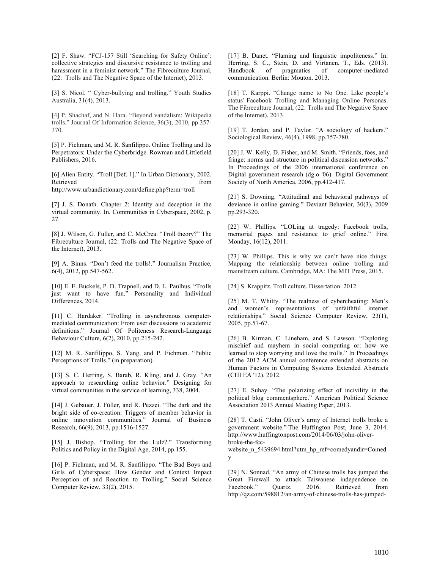[2] F. Shaw. "FCJ-157 Still 'Searching for Safety Online': collective strategies and discursive resistance to trolling and harassment in a feminist network." The Fibreculture Journal, (22: Trolls and The Negative Space of the Internet), 2013.

[3] S. Nicol. " Cyber-bullying and trolling." Youth Studies Australia, 31(4), 2013.

[4] P. Shachaf, and N. Hara. "Beyond vandalism: Wikipedia trolls." Journal Of Information Science, 36(3), 2010, pp.357- 370.

[5] P. Fichman, and M. R. Sanfilippo. Online Trolling and Its Perpetrators: Under the Cyberbridge. Rowman and Littlefield Publishers, 2016.

[6] Alien Entity. "Troll [Def. 1]." In Urban Dictionary, 2002. Retrieved from the state of the state of the state of the state of the state of the state of the state of the state of the state of the state of the state of the state of the state of the state of the state of the state of

http://www.urbandictionary.com/define.php?term=troll

[7] J. S. Donath. Chapter 2: Identity and deception in the virtual community. In, Communities in Cyberspace, 2002, p. 27.

[8] J. Wilson, G. Fuller, and C. McCrea. "Troll theory?" The Fibreculture Journal, (22: Trolls and The Negative Space of the Internet), 2013.

[9] A. Binns. "Don't feed the trolls!." Journalism Practice, 6(4), 2012, pp.547-562.

[10] E. E. Buckels, P. D. Trapnell, and D. L. Paulhus. "Trolls" just want to have fun." Personality and Individual Differences, 2014.

[11] C. Hardaker. "Trolling in asynchronous computermediated communication: From user discussions to academic definitions." Journal Of Politeness Research-Language Behaviour Culture, 6(2), 2010, pp.215-242.

[12] M. R. Sanfilippo, S. Yang, and P. Fichman. "Public Perceptions of Trolls." (in preparation).

[13] S. C. Herring, S. Barab, R. Kling, and J. Gray. "An approach to researching online behavior." Designing for virtual communities in the service of learning, 338, 2004.

[14] J. Gebauer, J. Füller, and R. Pezzei. "The dark and the bright side of co-creation: Triggers of member behavior in online innovation communities." Journal of Business Research, 66(9), 2013, pp.1516-1527.

[15] J. Bishop. "Trolling for the Lulz?." Transforming Politics and Policy in the Digital Age, 2014, pp.155.

[16] P. Fichman, and M. R. Sanfilippo. "The Bad Boys and Girls of Cyberspace: How Gender and Context Impact Perception of and Reaction to Trolling." Social Science Computer Review, 33(2), 2015.

[17] B. Danet. "Flaming and linguistic impoliteness." In: Herring, S. C., Stein, D. and Virtanen, T., Eds. (2013).<br>Handbook of pragmatics of computer-mediated Handbook of pragmatics of communication. Berlin: Mouton. 2013.

[18] T. Karppi. "Change name to No One. Like people's status' Facebook Trolling and Managing Online Personas. The Fibreculture Journal, (22: Trolls and The Negative Space of the Internet), 2013.

[19] T. Jordan, and P. Taylor. "A sociology of hackers." Sociological Review, 46(4), 1998, pp.757-780.

[20] J. W. Kelly, D. Fisher, and M. Smith. "Friends, foes, and fringe: norms and structure in political discussion networks." In Proceedings of the 2006 international conference on Digital government research (dg.o '06). Digital Government Society of North America, 2006, pp.412-417.

[21] S. Downing. "Attitudinal and behavioral pathways of deviance in online gaming." Deviant Behavior, 30(3), 2009 pp.293-320.

[22] W. Phillips. "LOLing at tragedy: Facebook trolls, memorial pages and resistance to grief online." First Monday, 16(12), 2011.

[23] W. Phillips. This is why we can't have nice things: Mapping the relationship between online trolling and mainstream culture. Cambridge, MA: The MIT Press, 2015.

[24] S. Krappitz. Troll culture. Dissertation. 2012.

[25] M. T. Whitty. "The realness of cybercheating: Men's and women's representations of unfaithful internet relationships." Social Science Computer Review, 23(1), 2005, pp.57-67.

[26] B. Kirman, C. Lineham, and S. Lawson. "Exploring mischief and mayhem in social computing or: how we learned to stop worrying and love the trolls." In Proceedings of the 2012 ACM annual conference extended abstracts on Human Factors in Computing Systems Extended Abstracts (CHI EA '12). 2012.

[27] E. Suhay. "The polarizing effect of incivility in the political blog commentsphere." American Political Science Association 2013 Annual Meeting Paper, 2013.

[28] T. Casti. "John Oliver's army of Internet trolls broke a government website." The Huffington Post, June 3, 2014. http://www.huffingtonpost.com/2014/06/03/john-oliverbroke-the-fcc-

website\_n\_5439694.html?utm\_hp\_ref=comedyandir=Comed y

[29] N. Sonnad. "An army of Chinese trolls has jumped the Great Firewall to attack Taiwanese independence on Facebook." Quartz. 2016. Retrieved from http://qz.com/598812/an-army-of-chinese-trolls-has-jumped